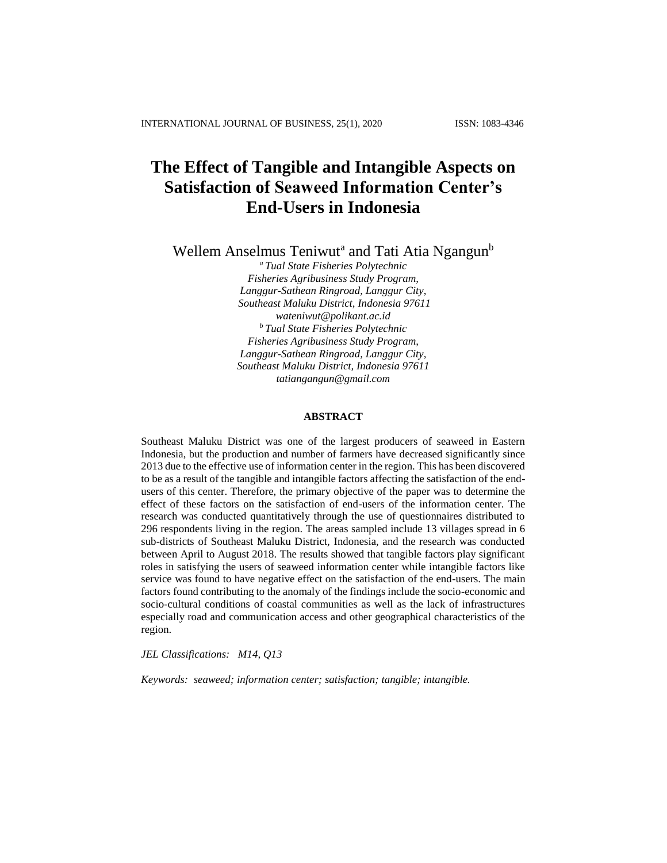# **The Effect of Tangible and Intangible Aspects on Satisfaction of Seaweed Information Center's End-Users in Indonesia**

Wellem Anselmus Teniwut<sup>a</sup> and Tati Atia Ngangun<sup>b</sup>

*<sup>a</sup> Tual State Fisheries Polytechnic Fisheries Agribusiness Study Program, Langgur-Sathean Ringroad, Langgur City, Southeast Maluku District, Indonesia 97611 wateniwut@polikant.ac.id <sup>b</sup> Tual State Fisheries Polytechnic Fisheries Agribusiness Study Program, Langgur-Sathean Ringroad, Langgur City, Southeast Maluku District, Indonesia 97611 tatiangangun@gmail.com*

#### **ABSTRACT**

Southeast Maluku District was one of the largest producers of seaweed in Eastern Indonesia, but the production and number of farmers have decreased significantly since 2013 due to the effective use of information center in the region. This has been discovered to be as a result of the tangible and intangible factors affecting the satisfaction of the endusers of this center. Therefore, the primary objective of the paper was to determine the effect of these factors on the satisfaction of end-users of the information center. The research was conducted quantitatively through the use of questionnaires distributed to 296 respondents living in the region. The areas sampled include 13 villages spread in 6 sub-districts of Southeast Maluku District, Indonesia, and the research was conducted between April to August 2018. The results showed that tangible factors play significant roles in satisfying the users of seaweed information center while intangible factors like service was found to have negative effect on the satisfaction of the end-users. The main factors found contributing to the anomaly of the findings include the socio-economic and socio-cultural conditions of coastal communities as well as the lack of infrastructures especially road and communication access and other geographical characteristics of the region.

*JEL Classifications: M14, Q13*

*Keywords: seaweed; information center; satisfaction; tangible; intangible.*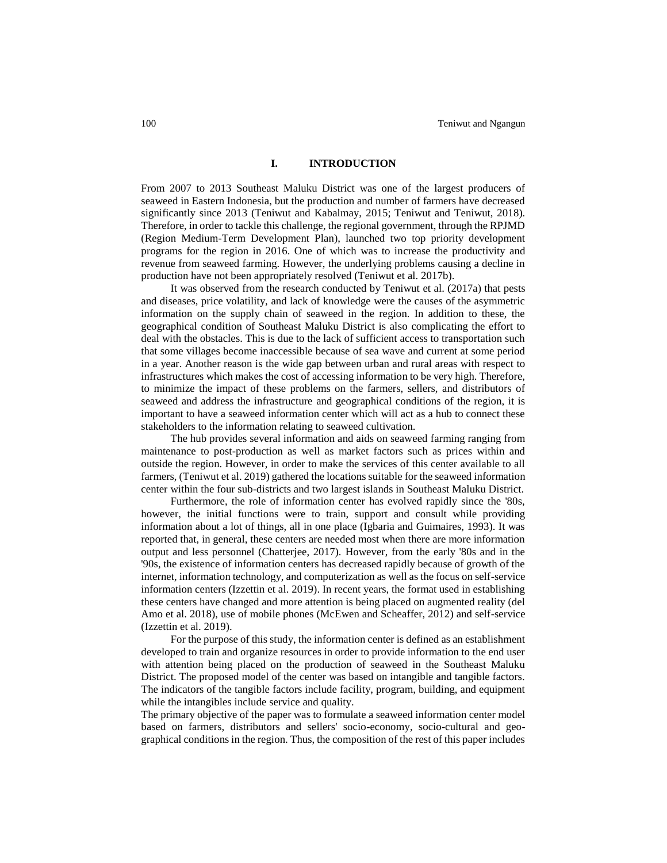#### **I. INTRODUCTION**

From 2007 to 2013 Southeast Maluku District was one of the largest producers of seaweed in Eastern Indonesia, but the production and number of farmers have decreased significantly since 2013 (Teniwut and Kabalmay, 2015; Teniwut and Teniwut, 2018). Therefore, in order to tackle this challenge, the regional government, through the RPJMD (Region Medium-Term Development Plan), launched two top priority development programs for the region in 2016. One of which was to increase the productivity and revenue from seaweed farming. However, the underlying problems causing a decline in production have not been appropriately resolved (Teniwut et al. 2017b).

It was observed from the research conducted by Teniwut et al. (2017a) that pests and diseases, price volatility, and lack of knowledge were the causes of the asymmetric information on the supply chain of seaweed in the region. In addition to these, the geographical condition of Southeast Maluku District is also complicating the effort to deal with the obstacles. This is due to the lack of sufficient access to transportation such that some villages become inaccessible because of sea wave and current at some period in a year. Another reason is the wide gap between urban and rural areas with respect to infrastructures which makes the cost of accessing information to be very high. Therefore, to minimize the impact of these problems on the farmers, sellers, and distributors of seaweed and address the infrastructure and geographical conditions of the region, it is important to have a seaweed information center which will act as a hub to connect these stakeholders to the information relating to seaweed cultivation.

The hub provides several information and aids on seaweed farming ranging from maintenance to post-production as well as market factors such as prices within and outside the region. However, in order to make the services of this center available to all farmers, (Teniwut et al. 2019) gathered the locations suitable for the seaweed information center within the four sub-districts and two largest islands in Southeast Maluku District.

Furthermore, the role of information center has evolved rapidly since the '80s, however, the initial functions were to train, support and consult while providing information about a lot of things, all in one place (Igbaria and Guimaires, 1993). It was reported that, in general, these centers are needed most when there are more information output and less personnel (Chatterjee, 2017). However, from the early '80s and in the '90s, the existence of information centers has decreased rapidly because of growth of the internet, information technology, and computerization as well as the focus on self-service information centers (Izzettin et al. 2019). In recent years, the format used in establishing these centers have changed and more attention is being placed on augmented reality (del Amo et al. 2018), use of mobile phones (McEwen and Scheaffer, 2012) and self-service (Izzettin et al. 2019).

For the purpose of this study, the information center is defined as an establishment developed to train and organize resources in order to provide information to the end user with attention being placed on the production of seaweed in the Southeast Maluku District. The proposed model of the center was based on intangible and tangible factors. The indicators of the tangible factors include facility, program, building, and equipment while the intangibles include service and quality.

The primary objective of the paper was to formulate a seaweed information center model based on farmers, distributors and sellers' socio-economy, socio-cultural and geographical conditions in the region. Thus, the composition of the rest of this paper includes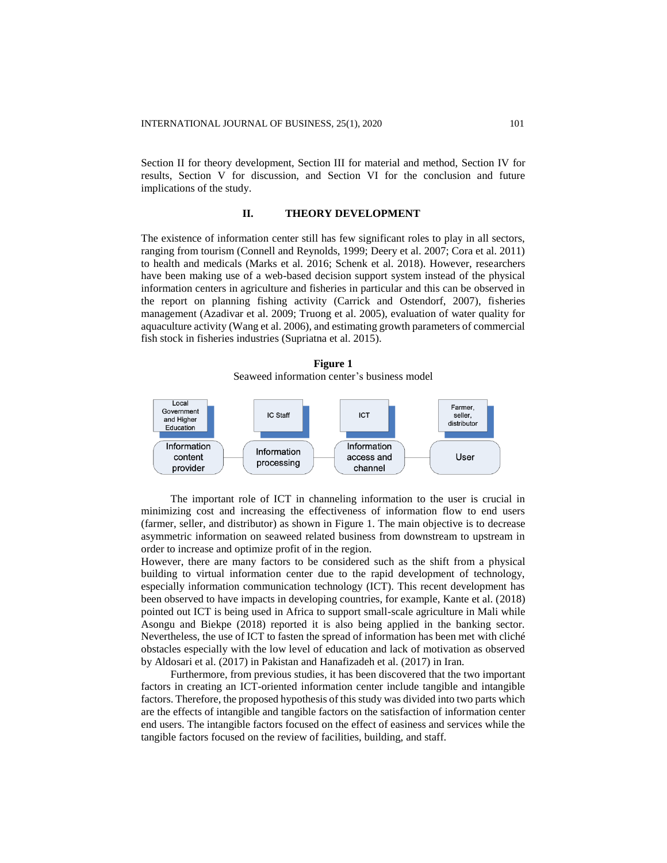Section II for theory development, Section III for material and method, Section IV for results, Section V for discussion, and Section VI for the conclusion and future implications of the study.

#### **II. THEORY DEVELOPMENT**

The existence of information center still has few significant roles to play in all sectors, ranging from tourism (Connell and Reynolds, 1999; Deery et al. 2007; Cora et al. 2011) to health and medicals (Marks et al. 2016; Schenk et al. 2018). However, researchers have been making use of a web-based decision support system instead of the physical information centers in agriculture and fisheries in particular and this can be observed in the report on planning fishing activity (Carrick and Ostendorf, 2007), fisheries management (Azadivar et al. 2009; Truong et al. 2005), evaluation of water quality for aquaculture activity (Wang et al. 2006), and estimating growth parameters of commercial fish stock in fisheries industries (Supriatna et al. 2015).

**Figure 1** Seaweed information center's business model



The important role of ICT in channeling information to the user is crucial in minimizing cost and increasing the effectiveness of information flow to end users (farmer, seller, and distributor) as shown in Figure 1. The main objective is to decrease asymmetric information on seaweed related business from downstream to upstream in order to increase and optimize profit of in the region.

However, there are many factors to be considered such as the shift from a physical building to virtual information center due to the rapid development of technology, especially information communication technology (ICT). This recent development has been observed to have impacts in developing countries, for example, Kante et al. (2018) pointed out ICT is being used in Africa to support small-scale agriculture in Mali while Asongu and Biekpe (2018) reported it is also being applied in the banking sector. Nevertheless, the use of ICT to fasten the spread of information has been met with cliché obstacles especially with the low level of education and lack of motivation as observed by Aldosari et al. (2017) in Pakistan and Hanafizadeh et al. (2017) in Iran.

Furthermore, from previous studies, it has been discovered that the two important factors in creating an ICT-oriented information center include tangible and intangible factors. Therefore, the proposed hypothesis of this study was divided into two parts which are the effects of intangible and tangible factors on the satisfaction of information center end users. The intangible factors focused on the effect of easiness and services while the tangible factors focused on the review of facilities, building, and staff.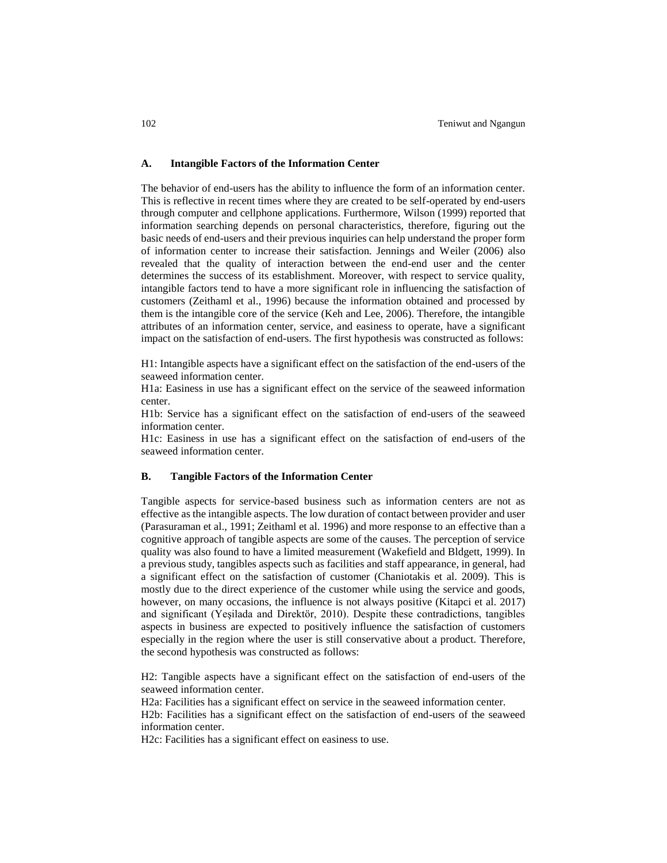#### **A. Intangible Factors of the Information Center**

The behavior of end-users has the ability to influence the form of an information center. This is reflective in recent times where they are created to be self-operated by end-users through computer and cellphone applications. Furthermore, Wilson (1999) reported that information searching depends on personal characteristics, therefore, figuring out the basic needs of end-users and their previous inquiries can help understand the proper form of information center to increase their satisfaction. Jennings and Weiler (2006) also revealed that the quality of interaction between the end-end user and the center determines the success of its establishment. Moreover, with respect to service quality, intangible factors tend to have a more significant role in influencing the satisfaction of customers (Zeithaml et al., 1996) because the information obtained and processed by them is the intangible core of the service (Keh and Lee, 2006). Therefore, the intangible attributes of an information center, service, and easiness to operate, have a significant impact on the satisfaction of end-users. The first hypothesis was constructed as follows:

H1: Intangible aspects have a significant effect on the satisfaction of the end-users of the seaweed information center.

H1a: Easiness in use has a significant effect on the service of the seaweed information center.

H1b: Service has a significant effect on the satisfaction of end-users of the seaweed information center.

H1c: Easiness in use has a significant effect on the satisfaction of end-users of the seaweed information center.

#### **B. Tangible Factors of the Information Center**

Tangible aspects for service-based business such as information centers are not as effective as the intangible aspects. The low duration of contact between provider and user (Parasuraman et al., 1991; Zeithaml et al. 1996) and more response to an effective than a cognitive approach of tangible aspects are some of the causes. The perception of service quality was also found to have a limited measurement (Wakefield and Bldgett, 1999). In a previous study, tangibles aspects such as facilities and staff appearance, in general, had a significant effect on the satisfaction of customer (Chaniotakis et al. 2009). This is mostly due to the direct experience of the customer while using the service and goods, however, on many occasions, the influence is not always positive (Kitapci et al. 2017) and significant (Yeşilada and Direktör, 2010). Despite these contradictions, tangibles aspects in business are expected to positively influence the satisfaction of customers especially in the region where the user is still conservative about a product. Therefore, the second hypothesis was constructed as follows:

H2: Tangible aspects have a significant effect on the satisfaction of end-users of the seaweed information center.

H2a: Facilities has a significant effect on service in the seaweed information center.

H2b: Facilities has a significant effect on the satisfaction of end-users of the seaweed information center.

H2c: Facilities has a significant effect on easiness to use.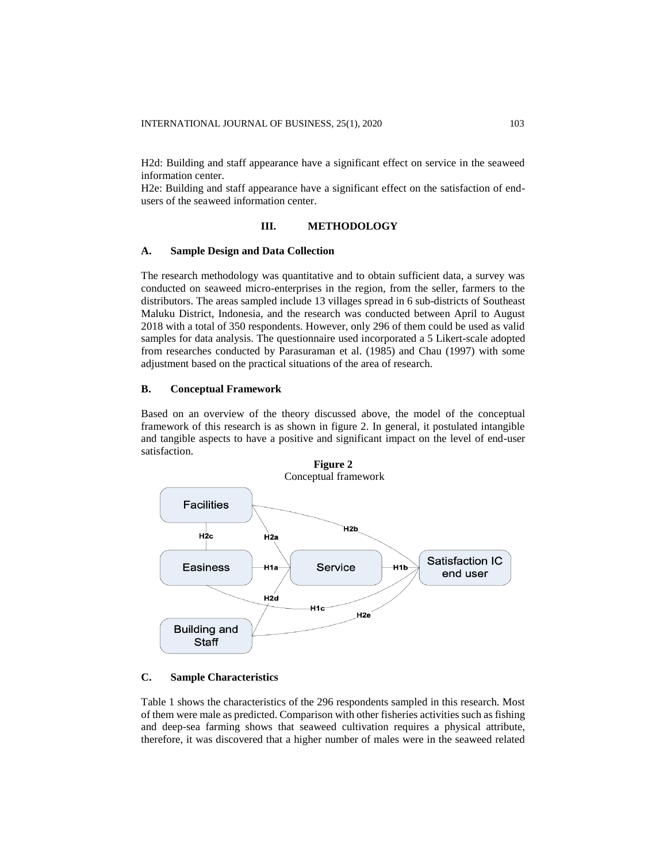H2d: Building and staff appearance have a significant effect on service in the seaweed information center.

H2e: Building and staff appearance have a significant effect on the satisfaction of endusers of the seaweed information center.

#### **III. METHODOLOGY**

## **A. Sample Design and Data Collection**

The research methodology was quantitative and to obtain sufficient data, a survey was conducted on seaweed micro-enterprises in the region, from the seller, farmers to the distributors. The areas sampled include 13 villages spread in 6 sub-districts of Southeast Maluku District, Indonesia, and the research was conducted between April to August 2018 with a total of 350 respondents. However, only 296 of them could be used as valid samples for data analysis. The questionnaire used incorporated a 5 Likert-scale adopted from researches conducted by Parasuraman et al. (1985) and Chau (1997) with some adjustment based on the practical situations of the area of research.

## **B. Conceptual Framework**

Based on an overview of the theory discussed above, the model of the conceptual framework of this research is as shown in figure 2. In general, it postulated intangible and tangible aspects to have a positive and significant impact on the level of end-user satisfaction.



## **C. Sample Characteristics**

Table 1 shows the characteristics of the 296 respondents sampled in this research. Most of them were male as predicted. Comparison with other fisheries activities such as fishing and deep-sea farming shows that seaweed cultivation requires a physical attribute, therefore, it was discovered that a higher number of males were in the seaweed related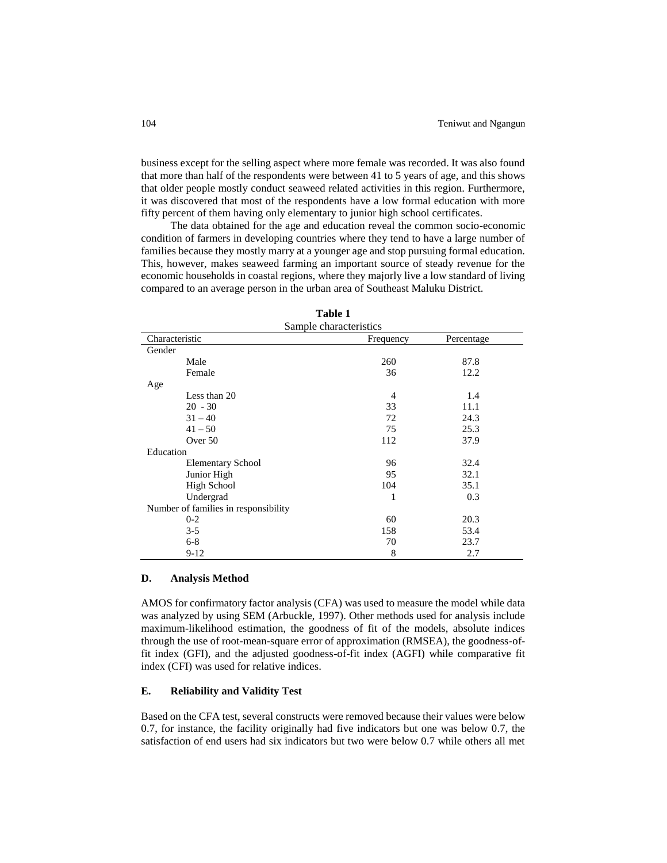business except for the selling aspect where more female was recorded. It was also found that more than half of the respondents were between 41 to 5 years of age, and this shows that older people mostly conduct seaweed related activities in this region. Furthermore, it was discovered that most of the respondents have a low formal education with more fifty percent of them having only elementary to junior high school certificates.

The data obtained for the age and education reveal the common socio-economic condition of farmers in developing countries where they tend to have a large number of families because they mostly marry at a younger age and stop pursuing formal education. This, however, makes seaweed farming an important source of steady revenue for the economic households in coastal regions, where they majorly live a low standard of living compared to an average person in the urban area of Southeast Maluku District.

| Sample characteristics               |           |            |  |  |  |  |
|--------------------------------------|-----------|------------|--|--|--|--|
| Characteristic                       | Frequency | Percentage |  |  |  |  |
| Gender                               |           |            |  |  |  |  |
| Male                                 | 260       | 87.8       |  |  |  |  |
| Female                               | 36        | 12.2       |  |  |  |  |
| Age                                  |           |            |  |  |  |  |
| Less than 20                         | 4         | 1.4        |  |  |  |  |
| $20 - 30$                            | 33        | 11.1       |  |  |  |  |
| $31 - 40$                            | 72        | 24.3       |  |  |  |  |
| $41 - 50$                            | 75        | 25.3       |  |  |  |  |
| Over 50                              | 112       | 37.9       |  |  |  |  |
| Education                            |           |            |  |  |  |  |
| <b>Elementary School</b>             | 96        | 32.4       |  |  |  |  |
| Junior High                          | 95        | 32.1       |  |  |  |  |
| <b>High School</b>                   | 104       | 35.1       |  |  |  |  |
| Undergrad                            | 1         | 0.3        |  |  |  |  |
| Number of families in responsibility |           |            |  |  |  |  |
| $0 - 2$                              | 60        | 20.3       |  |  |  |  |
| $3 - 5$                              | 158       | 53.4       |  |  |  |  |
| $6 - 8$                              | 70        | 23.7       |  |  |  |  |
| $9-12$                               | 8         | 2.7        |  |  |  |  |

**Table 1** Sample characteristics

## **D. Analysis Method**

AMOS for confirmatory factor analysis (CFA) was used to measure the model while data was analyzed by using SEM (Arbuckle, 1997). Other methods used for analysis include maximum-likelihood estimation, the goodness of fit of the models, absolute indices through the use of root-mean-square error of approximation (RMSEA), the goodness-offit index (GFI), and the adjusted goodness-of-fit index (AGFI) while comparative fit index (CFI) was used for relative indices.

## **E. Reliability and Validity Test**

Based on the CFA test, several constructs were removed because their values were below 0.7, for instance, the facility originally had five indicators but one was below 0.7, the satisfaction of end users had six indicators but two were below 0.7 while others all met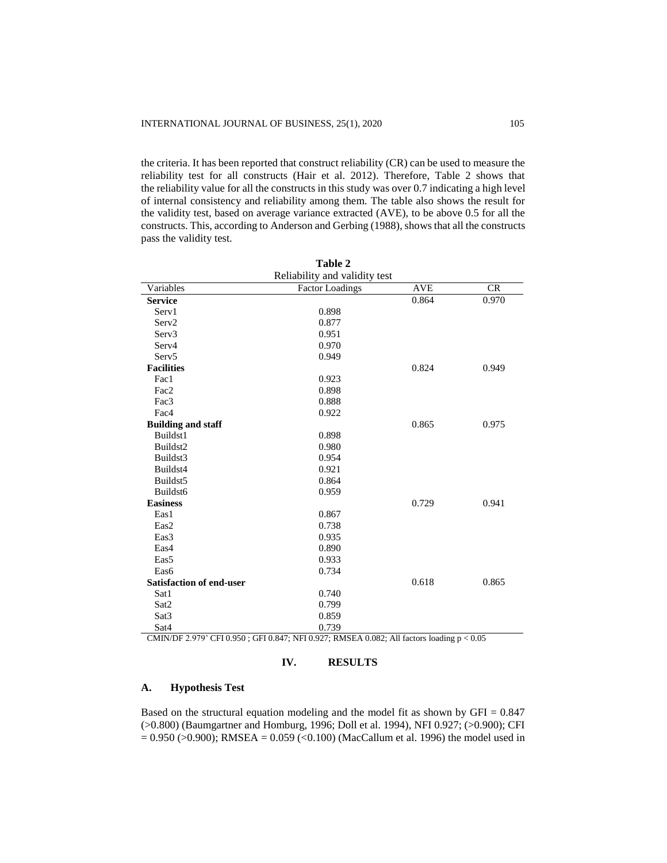the criteria. It has been reported that construct reliability (CR) can be used to measure the reliability test for all constructs (Hair et al. 2012). Therefore, Table 2 shows that the reliability value for all the constructs in this study was over 0.7 indicating a high level of internal consistency and reliability among them. The table also shows the result for the validity test, based on average variance extracted (AVE), to be above 0.5 for all the constructs. This, according to Anderson and Gerbing (1988), shows that all the constructs pass the validity test.

| Table 2                         |                        |            |       |  |  |  |  |
|---------------------------------|------------------------|------------|-------|--|--|--|--|
| Reliability and validity test   |                        |            |       |  |  |  |  |
| Variables                       | <b>Factor Loadings</b> | <b>AVE</b> | CR    |  |  |  |  |
| <b>Service</b>                  |                        | 0.864      | 0.970 |  |  |  |  |
| Serv1                           | 0.898                  |            |       |  |  |  |  |
| Serv <sub>2</sub>               | 0.877                  |            |       |  |  |  |  |
| Serv <sub>3</sub>               | 0.951                  |            |       |  |  |  |  |
| Serv4                           | 0.970                  |            |       |  |  |  |  |
| Serv <sub>5</sub>               | 0.949                  |            |       |  |  |  |  |
| <b>Facilities</b>               |                        | 0.824      | 0.949 |  |  |  |  |
| Fac1                            | 0.923                  |            |       |  |  |  |  |
| Fac2                            | 0.898                  |            |       |  |  |  |  |
| Fac3                            | 0.888                  |            |       |  |  |  |  |
| Fac4                            | 0.922                  |            |       |  |  |  |  |
| <b>Building and staff</b>       |                        | 0.865      | 0.975 |  |  |  |  |
| Buildst1                        | 0.898                  |            |       |  |  |  |  |
| Buildst2                        | 0.980                  |            |       |  |  |  |  |
| Buildst3                        | 0.954                  |            |       |  |  |  |  |
| Buildst4                        | 0.921                  |            |       |  |  |  |  |
| Buildst5                        | 0.864                  |            |       |  |  |  |  |
| Buildst <sub>6</sub>            | 0.959                  |            |       |  |  |  |  |
| <b>Easiness</b>                 |                        | 0.729      | 0.941 |  |  |  |  |
| Eas1                            | 0.867                  |            |       |  |  |  |  |
| Eas2                            | 0.738                  |            |       |  |  |  |  |
| Eas3                            | 0.935                  |            |       |  |  |  |  |
| Eas4                            | 0.890                  |            |       |  |  |  |  |
| Eas5                            | 0.933                  |            |       |  |  |  |  |
| Eas6                            | 0.734                  |            |       |  |  |  |  |
| <b>Satisfaction of end-user</b> |                        | 0.618      | 0.865 |  |  |  |  |
| Sat1                            | 0.740                  |            |       |  |  |  |  |
| Sat2                            | 0.799                  |            |       |  |  |  |  |
| Sat <sub>3</sub>                | 0.859                  |            |       |  |  |  |  |
| Sat4                            | 0.739                  |            |       |  |  |  |  |

CMIN/DF 2.979' CFI 0.950 ; GFI 0.847; NFI 0.927; RMSEA 0.082; All factors loading p < 0.05

## **IV. RESULTS**

#### **A. Hypothesis Test**

Based on the structural equation modeling and the model fit as shown by  $GFI = 0.847$ (>0.800) (Baumgartner and Homburg, 1996; Doll et al. 1994), NFI 0.927; (>0.900); CFI  $= 0.950$  ( $> 0.900$ ); RMSEA = 0.059 (<0.100) (MacCallum et al. 1996) the model used in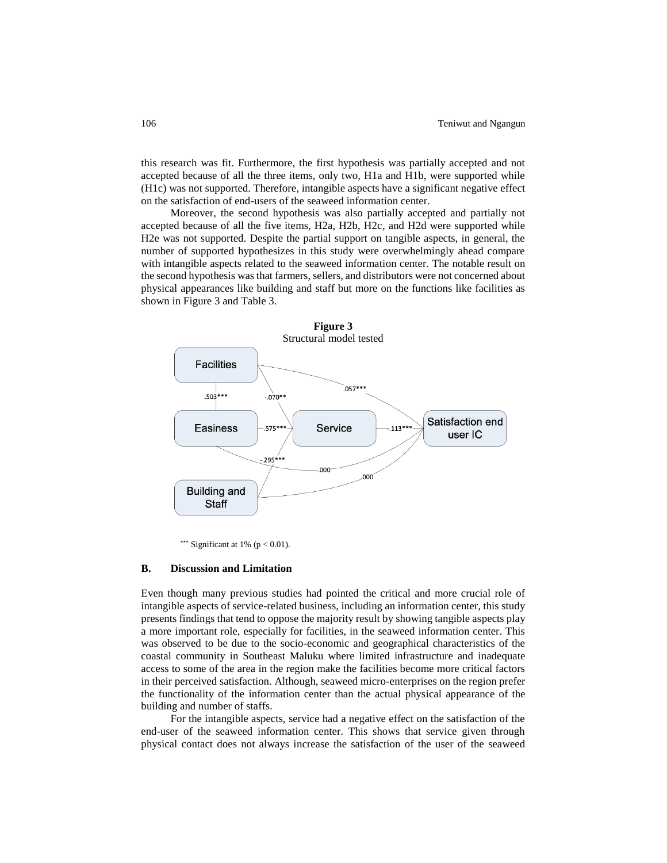this research was fit. Furthermore, the first hypothesis was partially accepted and not accepted because of all the three items, only two, H1a and H1b, were supported while (H1c) was not supported. Therefore, intangible aspects have a significant negative effect on the satisfaction of end-users of the seaweed information center.

Moreover, the second hypothesis was also partially accepted and partially not accepted because of all the five items, H2a, H2b, H2c, and H2d were supported while H2e was not supported. Despite the partial support on tangible aspects, in general, the number of supported hypothesizes in this study were overwhelmingly ahead compare with intangible aspects related to the seaweed information center. The notable result on the second hypothesis was that farmers, sellers, and distributors were not concerned about physical appearances like building and staff but more on the functions like facilities as shown in Figure 3 and Table 3.



\*\*\* Significant at 1% ( $p < 0.01$ ).

## **B. Discussion and Limitation**

Even though many previous studies had pointed the critical and more crucial role of intangible aspects of service-related business, including an information center, this study presents findings that tend to oppose the majority result by showing tangible aspects play a more important role, especially for facilities, in the seaweed information center. This was observed to be due to the socio-economic and geographical characteristics of the coastal community in Southeast Maluku where limited infrastructure and inadequate access to some of the area in the region make the facilities become more critical factors in their perceived satisfaction. Although, seaweed micro-enterprises on the region prefer the functionality of the information center than the actual physical appearance of the building and number of staffs.

For the intangible aspects, service had a negative effect on the satisfaction of the end-user of the seaweed information center. This shows that service given through physical contact does not always increase the satisfaction of the user of the seaweed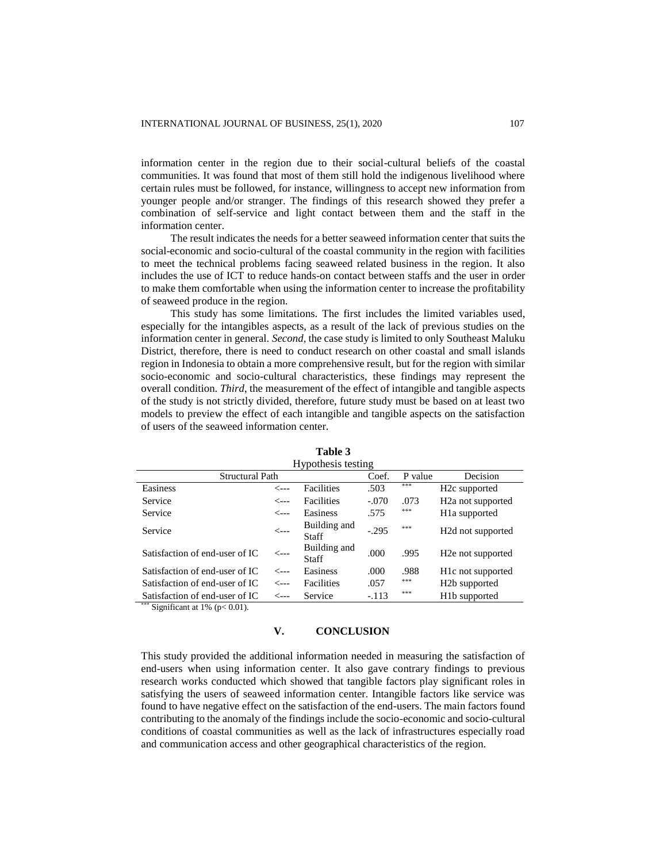information center in the region due to their social-cultural beliefs of the coastal communities. It was found that most of them still hold the indigenous livelihood where certain rules must be followed, for instance, willingness to accept new information from younger people and/or stranger. The findings of this research showed they prefer a combination of self-service and light contact between them and the staff in the information center.

The result indicates the needs for a better seaweed information center that suits the social-economic and socio-cultural of the coastal community in the region with facilities to meet the technical problems facing seaweed related business in the region. It also includes the use of ICT to reduce hands-on contact between staffs and the user in order to make them comfortable when using the information center to increase the profitability of seaweed produce in the region.

This study has some limitations. The first includes the limited variables used, especially for the intangibles aspects, as a result of the lack of previous studies on the information center in general. *Second,* the case study is limited to only Southeast Maluku District, therefore, there is need to conduct research on other coastal and small islands region in Indonesia to obtain a more comprehensive result, but for the region with similar socio-economic and socio-cultural characteristics, these findings may represent the overall condition. *Third*, the measurement of the effect of intangible and tangible aspects of the study is not strictly divided, therefore, future study must be based on at least two models to preview the effect of each intangible and tangible aspects on the satisfaction of users of the seaweed information center.

| Trypothesis testing    |                              |         |         |                                |  |  |  |
|------------------------|------------------------------|---------|---------|--------------------------------|--|--|--|
| <b>Structural Path</b> |                              | Coef.   | P value | Decision                       |  |  |  |
| <---                   | Facilities                   | .503    | ***     | H <sub>2</sub> c supported     |  |  |  |
| <---                   | Facilities                   | $-.070$ | .073    | H <sub>2</sub> a not supported |  |  |  |
| $\leftarrow -$         | Easiness                     | .575    | ***     | H <sub>1</sub> a supported     |  |  |  |
| $\leftarrow -$         | Building and<br>Staff        | $-.295$ | ***     | H <sub>2</sub> d not supported |  |  |  |
| <---                   | Building and<br><b>Staff</b> | .000    | .995    | H <sub>2</sub> e not supported |  |  |  |
| <---                   | Easiness                     | .000    | .988    | H <sub>1</sub> c not supported |  |  |  |
| <---                   | <b>Facilities</b>            | .057    | ***     | H <sub>2</sub> b supported     |  |  |  |
| <---                   | Service                      | $-.113$ | ***     | H <sub>1</sub> b supported     |  |  |  |
|                        |                              |         |         |                                |  |  |  |

**Table 3** Hypothesis testing

Significant at 1% ( $p < 0.01$ ).

## **V. CONCLUSION**

This study provided the additional information needed in measuring the satisfaction of end-users when using information center. It also gave contrary findings to previous research works conducted which showed that tangible factors play significant roles in satisfying the users of seaweed information center. Intangible factors like service was found to have negative effect on the satisfaction of the end-users. The main factors found contributing to the anomaly of the findings include the socio-economic and socio-cultural conditions of coastal communities as well as the lack of infrastructures especially road and communication access and other geographical characteristics of the region.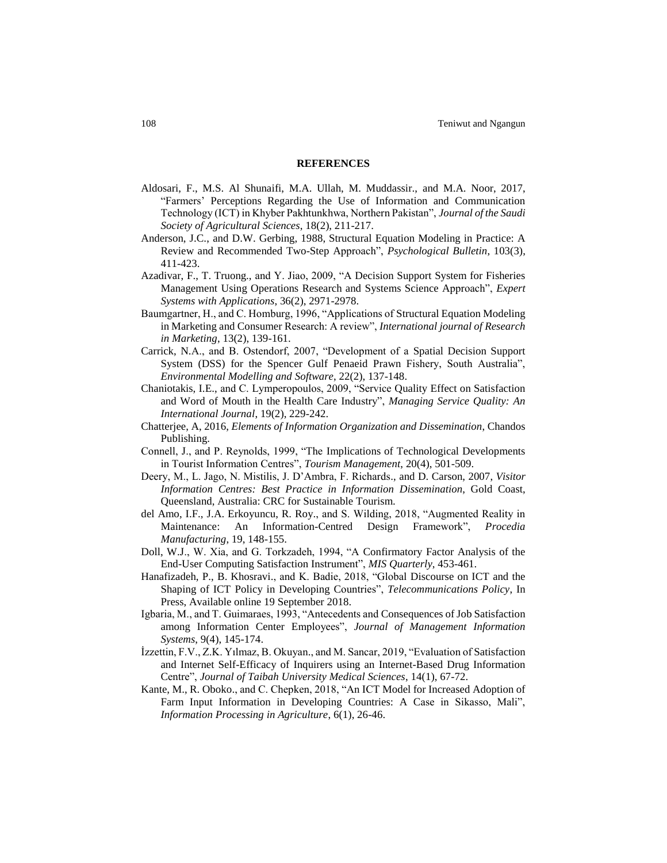#### **REFERENCES**

- Aldosari, F., M.S. Al Shunaifi, M.A. Ullah, M. Muddassir., and M.A. Noor, 2017, "Farmers' Perceptions Regarding the Use of Information and Communication Technology (ICT) in Khyber Pakhtunkhwa, Northern Pakistan", *Journal of the Saudi Society of Agricultural Sciences*, 18(2), 211-217.
- Anderson, J.C., and D.W. Gerbing, 1988, Structural Equation Modeling in Practice: A Review and Recommended Two-Step Approach", *Psychological Bulletin*, 103(3), 411-423.
- Azadivar, F., T. Truong., and Y. Jiao, 2009, "A Decision Support System for Fisheries Management Using Operations Research and Systems Science Approach", *Expert Systems with Applications*, 36(2), 2971-2978.
- Baumgartner, H., and C. Homburg, 1996, "Applications of Structural Equation Modeling in Marketing and Consumer Research: A review", *International journal of Research in Marketing*, 13(2), 139-161.
- Carrick, N.A., and B. Ostendorf, 2007, "Development of a Spatial Decision Support System (DSS) for the Spencer Gulf Penaeid Prawn Fishery, South Australia", *Environmental Modelling and Software*, 22(2), 137-148.
- Chaniotakis, I.E., and C. Lymperopoulos, 2009, "Service Quality Effect on Satisfaction and Word of Mouth in the Health Care Industry", *Managing Service Quality: An International Journal*, 19(2), 229-242.
- Chatterjee, A, 2016, *Elements of Information Organization and Dissemination*, Chandos Publishing.
- Connell, J., and P. Reynolds, 1999, "The Implications of Technological Developments in Tourist Information Centres", *Tourism Management*, 20(4), 501-509.
- Deery, M., L. Jago, N. Mistilis, J. D'Ambra, F. Richards., and D. Carson, 2007, *Visitor Information Centres: Best Practice in Information Dissemination*, Gold Coast, Queensland, Australia: CRC for Sustainable Tourism.
- del Amo, I.F., J.A. Erkoyuncu, R. Roy., and S. Wilding, 2018, "Augmented Reality in Maintenance: An Information-Centred Design Framework", *Procedia Manufacturing*, 19, 148-155.
- Doll, W.J., W. Xia, and G. Torkzadeh, 1994, "A Confirmatory Factor Analysis of the End-User Computing Satisfaction Instrument", *MIS Quarterly*, 453-461.
- Hanafizadeh, P., B. Khosravi., and K. Badie, 2018, "Global Discourse on ICT and the Shaping of ICT Policy in Developing Countries", *Telecommunications Policy*, In Press, Available online 19 September 2018.
- Igbaria, M., and T. Guimaraes, 1993, "Antecedents and Consequences of Job Satisfaction among Information Center Employees", *Journal of Management Information Systems*, 9(4), 145-174.
- İzzettin, F.V., Z.K. Yılmaz, B. Okuyan., and M. Sancar, 2019, "Evaluation of Satisfaction and Internet Self-Efficacy of Inquirers using an Internet-Based Drug Information Centre", *Journal of Taibah University Medical Sciences*, 14(1), 67-72.
- Kante, M., R. Oboko., and C. Chepken, 2018, "An ICT Model for Increased Adoption of Farm Input Information in Developing Countries: A Case in Sikasso, Mali", *Information Processing in Agriculture*, 6(1), 26-46.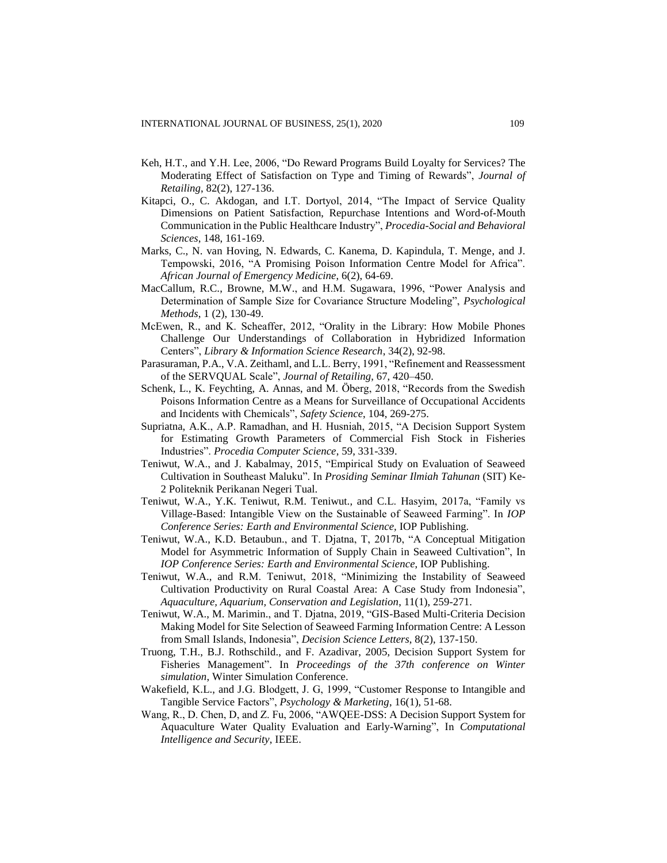- Keh, H.T., and Y.H. Lee, 2006, "Do Reward Programs Build Loyalty for Services? The Moderating Effect of Satisfaction on Type and Timing of Rewards", *Journal of Retailing*, 82(2), 127-136.
- Kitapci, O., C. Akdogan, and I.T. Dortyol, 2014, "The Impact of Service Quality Dimensions on Patient Satisfaction, Repurchase Intentions and Word-of-Mouth Communication in the Public Healthcare Industry", *Procedia-Social and Behavioral Sciences*, 148, 161-169.
- Marks, C., N. van Hoving, N. Edwards, C. Kanema, D. Kapindula, T. Menge, and J. Tempowski, 2016, "A Promising Poison Information Centre Model for Africa". *African Journal of Emergency Medicine*, 6(2), 64-69.
- MacCallum, R.C., Browne, M.W., and H.M. Sugawara, 1996, "Power Analysis and Determination of Sample Size for Covariance Structure Modeling", *Psychological Methods*, 1 (2), 130-49.
- McEwen, R., and K. Scheaffer, 2012, "Orality in the Library: How Mobile Phones Challenge Our Understandings of Collaboration in Hybridized Information Centers", *Library & Information Science Research*, 34(2), 92-98.
- Parasuraman, P.A., V.A. Zeithaml, and L.L. Berry, 1991, "Refinement and Reassessment of the SERVQUAL Scale", *Journal of Retailing*, 67, 420–450.
- Schenk, L., K. Feychting, A. Annas, and M. Öberg, 2018, "Records from the Swedish Poisons Information Centre as a Means for Surveillance of Occupational Accidents and Incidents with Chemicals", *Safety Science*, 104, 269-275.
- Supriatna, A.K., A.P. Ramadhan, and H. Husniah, 2015, "A Decision Support System for Estimating Growth Parameters of Commercial Fish Stock in Fisheries Industries". *Procedia Computer Science*, 59, 331-339.
- Teniwut, W.A., and J. Kabalmay, 2015, "Empirical Study on Evaluation of Seaweed Cultivation in Southeast Maluku". In *Prosiding Seminar Ilmiah Tahunan* (SIT) Ke-2 Politeknik Perikanan Negeri Tual.
- Teniwut, W.A., Y.K. Teniwut, R.M. Teniwut., and C.L. Hasyim, 2017a, "Family vs Village-Based: Intangible View on the Sustainable of Seaweed Farming". In *IOP Conference Series: Earth and Environmental Science,* IOP Publishing.
- Teniwut, W.A., K.D. Betaubun., and T. Djatna, T, 2017b, "A Conceptual Mitigation Model for Asymmetric Information of Supply Chain in Seaweed Cultivation", In *IOP Conference Series: Earth and Environmental Science*, IOP Publishing.
- Teniwut, W.A., and R.M. Teniwut, 2018, "Minimizing the Instability of Seaweed Cultivation Productivity on Rural Coastal Area: A Case Study from Indonesia", *Aquaculture, Aquarium, Conservation and Legislation*, 11(1), 259-271.
- Teniwut, W.A., M. Marimin., and T. Djatna, 2019, "GIS-Based Multi-Criteria Decision Making Model for Site Selection of Seaweed Farming Information Centre: A Lesson from Small Islands, Indonesia", *Decision Science Letters*, 8(2), 137-150.
- Truong, T.H., B.J. Rothschild., and F. Azadivar, 2005, Decision Support System for Fisheries Management". In *Proceedings of the 37th conference on Winter simulation*, Winter Simulation Conference.
- Wakefield, K.L., and J.G. Blodgett, J. G, 1999, "Customer Response to Intangible and Tangible Service Factors", *Psychology & Marketing*, 16(1), 51-68.
- Wang, R., D. Chen, D, and Z. Fu, 2006, "AWQEE-DSS: A Decision Support System for Aquaculture Water Quality Evaluation and Early-Warning", In *Computational Intelligence and Security*, IEEE.